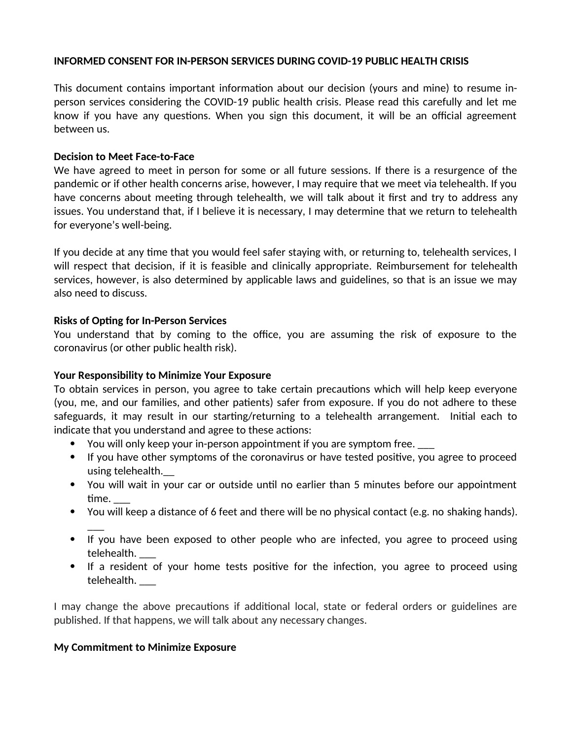#### **INFORMED CONSENT FOR IN-PERSON SERVICES DURING COVID-19 PUBLIC HEALTH CRISIS**

This document contains important information about our decision (yours and mine) to resume inperson services considering the COVID-19 public health crisis. Please read this carefully and let me know if you have any questions. When you sign this document, it will be an official agreement between us.

## **Decision to Meet Face-to-Face**

We have agreed to meet in person for some or all future sessions. If there is a resurgence of the pandemic or if other health concerns arise, however, I may require that we meet via telehealth. If you have concerns about meeting through telehealth, we will talk about it first and try to address any issues. You understand that, if I believe it is necessary, I may determine that we return to telehealth for everyone's well-being.

If you decide at any time that you would feel safer staying with, or returning to, telehealth services, I will respect that decision, if it is feasible and clinically appropriate. Reimbursement for telehealth services, however, is also determined by applicable laws and guidelines, so that is an issue we may also need to discuss.

# **Risks of Opting for In-Person Services**

You understand that by coming to the office, you are assuming the risk of exposure to the coronavirus (or other public health risk).

## **Your Responsibility to Minimize Your Exposure**

To obtain services in person, you agree to take certain precautions which will help keep everyone (you, me, and our families, and other patients) safer from exposure. If you do not adhere to these safeguards, it may result in our starting/returning to a telehealth arrangement. Initial each to indicate that you understand and agree to these actions:

- You will only keep your in-person appointment if you are symptom free.
- If you have other symptoms of the coronavirus or have tested positive, you agree to proceed using telehealth.\_\_
- You will wait in your car or outside until no earlier than 5 minutes before our appointment time. \_\_\_
- You will keep a distance of 6 feet and there will be no physical contact (e.g. no shaking hands).
- $\overline{\phantom{a}}$ • If you have been exposed to other people who are infected, you agree to proceed using telehealth. \_\_\_
- If a resident of your home tests positive for the infection, you agree to proceed using telehealth. \_\_\_

I may change the above precautions if additional local, state or federal orders or guidelines are published. If that happens, we will talk about any necessary changes.

#### **My Commitment to Minimize Exposure**